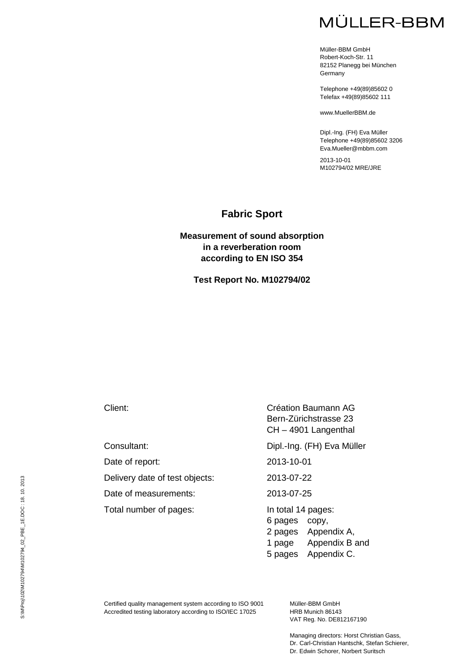# **MÜLLER-BBM**

Müller-BBM GmbH Robert-Koch-Str. 11 82152 Planegg bei München **Germany** 

Telephone +49(89)85602 0 Telefax +49(89)85602 111

www.MuellerBBM.de

Dipl.-Ing. (FH) Eva Müller Telephone +49(89)85602 3206 Eva.Mueller@mbbm.com

2013-10-01 M102794/02 MRE/JRE

### **Fabric Sport**

#### **Measurement of sound absorption in a reverberation room according to EN ISO 354**

**Test Report No. M102794/02**

Date of report: 2013-10-01

Delivery date of test objects: 2013-07-22

Date of measurements: 2013-07-25

Total number of pages: In total 14 pages:

Client: Création Baumann AG Bern-Zürichstrasse 23 CH – 4901 Langenthal

Consultant: Dipl.-Ing. (FH) Eva Müller

6 pages copy, 2 pages Appendix A, 1 page Appendix B and

5 pages Appendix C.

Certified quality management system according to ISO 9001 Accredited testing laboratory according to ISO/IEC 17025

Müller-BBM GmbH HRB Munich 86143 VAT Reg. No. DE812167190

Managing directors: Horst Christian Gass, Dr. Carl-Christian Hantschk, Stefan Schierer, Dr. Edwin Schorer, Norbert Suritsch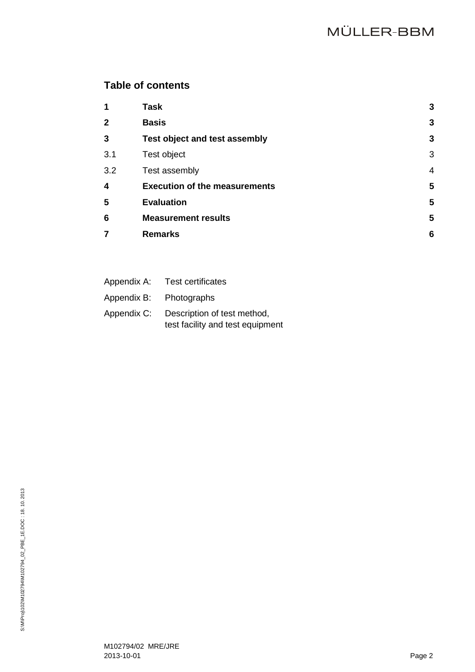# **Table of contents**

| 1            | <b>Task</b>                          | 3              |
|--------------|--------------------------------------|----------------|
| $\mathbf{2}$ | <b>Basis</b>                         | 3              |
| 3            | <b>Test object and test assembly</b> | 3              |
| 3.1          | Test object                          | 3              |
| 3.2          | Test assembly                        | $\overline{4}$ |
| 4            | <b>Execution of the measurements</b> | 5              |
| 5            | <b>Evaluation</b>                    | 5              |
| 6            | <b>Measurement results</b>           | 5              |
| 7            | <b>Remarks</b>                       | 6              |
|              |                                      |                |

| Appendix A: | <b>Test certificates</b>                                        |
|-------------|-----------------------------------------------------------------|
| Appendix B: | Photographs                                                     |
| Appendix C: | Description of test method,<br>test facility and test equipment |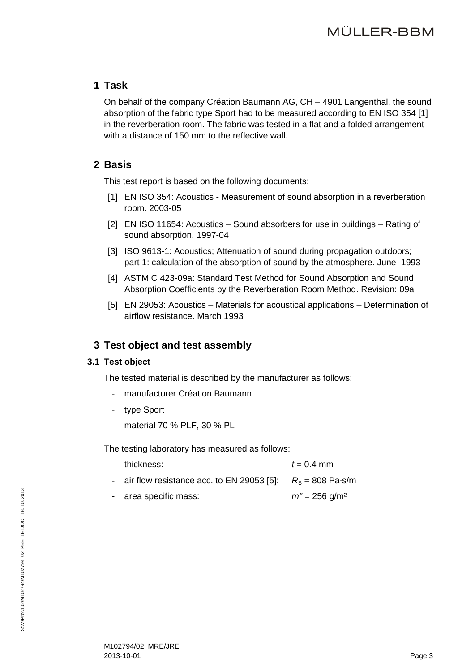### <span id="page-2-0"></span>**1 Task**

On behalf of the company Création Baumann AG, CH – 4901 Langenthal, the sound absorption of the fabric type Sport had to be measured according to EN ISO 354 [\[1\]](#page-2-4) in the reverberation room. The fabric was tested in a flat and a folded arrangement with a distance of 150 mm to the reflective wall.

### <span id="page-2-4"></span><span id="page-2-1"></span>**2 Basis**

This test report is based on the following documents:

- [1] EN ISO 354: Acoustics Measurement of sound absorption in a reverberation room. 2003-05
- <span id="page-2-6"></span>[2] EN ISO 11654: Acoustics – Sound absorbers for use in buildings – Rating of sound absorption. 1997-04
- <span id="page-2-8"></span>[3] ISO 9613-1: Acoustics; Attenuation of sound during propagation outdoors; part 1: calculation of the absorption of sound by the atmosphere. June 1993
- <span id="page-2-7"></span>[4] ASTM C 423-09a: Standard Test Method for Sound Absorption and Sound Absorption Coefficients by the Reverberation Room Method. Revision: 09a
- [5] EN 29053: Acoustics Materials for acoustical applications Determination of airflow resistance. March 1993

## <span id="page-2-5"></span><span id="page-2-2"></span>**3 Test object and test assembly**

### <span id="page-2-3"></span>**3.1 Test object**

The tested material is described by the manufacturer as follows:

- manufacturer Création Baumann
- type Sport
- material 70 % PLF, 30 % PL

The testing laboratory has measured as follows:

- $-t = 0.4$  mm
- air flow resistance acc. to EN 29053 [\[5\]:](#page-2-5)  $R_S = 808$  Pa⋅s/m
- area specific mass: *m''* = 256 g/m<sup>2</sup>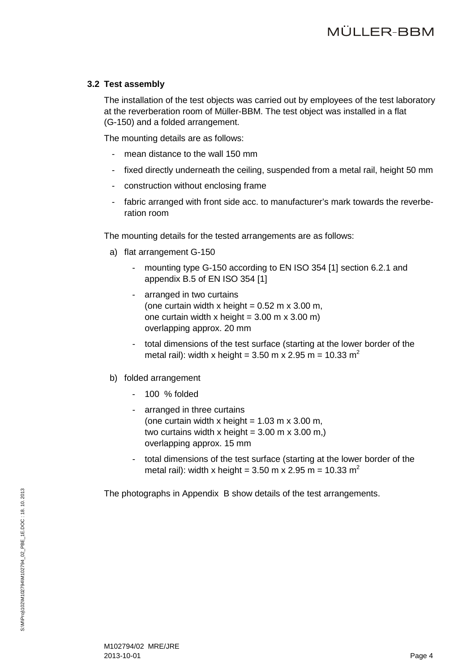#### <span id="page-3-0"></span>**3.2 Test assembly**

The installation of the test objects was carried out by employees of the test laboratory at the reverberation room of Müller-BBM. The test object was installed in a flat (G-150) and a folded arrangement.

The mounting details are as follows:

- mean distance to the wall 150 mm
- fixed directly underneath the ceiling, suspended from a metal rail, height 50 mm
- construction without enclosing frame
- fabric arranged with front side acc. to manufacturer's mark towards the reverberation room

The mounting details for the tested arrangements are as follows:

- a) flat arrangement G-150
	- mounting type G-150 according to EN ISO 354 [\[1\]](#page-2-4) section 6.2.1 and appendix B.5 of EN ISO 354 [\[1\]](#page-2-4)
	- arranged in two curtains (one curtain width x height =  $0.52$  m x 3.00 m, one curtain width x height =  $3.00 \text{ m}$  x  $3.00 \text{ m}$ ) overlapping approx. 20 mm
	- total dimensions of the test surface (starting at the lower border of the metal rail): width x height =  $3.50$  m x  $2.95$  m =  $10.33$  m<sup>2</sup>
- b) folded arrangement
	- 100 % folded
	- arranged in three curtains (one curtain width x height =  $1.03$  m x  $3.00$  m, two curtains width x height =  $3.00$  m x  $3.00$  m,) overlapping approx. 15 mm
	- total dimensions of the test surface (starting at the lower border of the metal rail): width x height =  $3.50$  m x  $2.95$  m =  $10.33$  m<sup>2</sup>

The photographs in Appendix B show details of the test arrangements.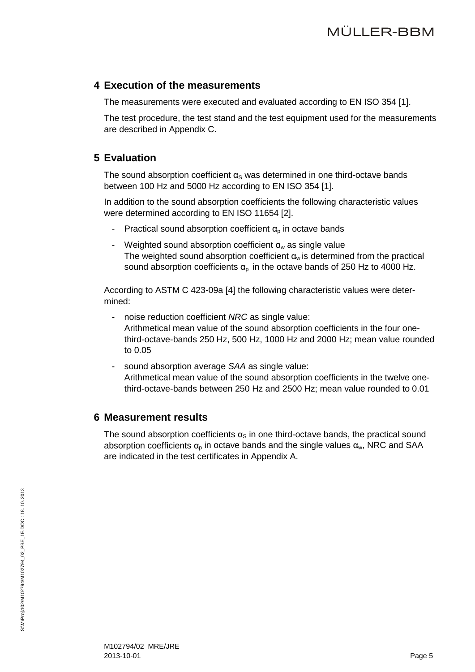### <span id="page-4-0"></span>**4 Execution of the measurements**

The measurements were executed and evaluated according to EN ISO 354 [\[1\].](#page-2-4)

The test procedure, the test stand and the test equipment used for the measurements are described in Appendix C.

## <span id="page-4-1"></span>**5 Evaluation**

The sound absorption coefficient  $\alpha_S$  was determined in one third-octave bands between 100 Hz and 5000 Hz according to EN ISO 354 [\[1\].](#page-2-4)

In addition to the sound absorption coefficients the following characteristic values were determined according to EN ISO 11654 [\[2\].](#page-2-6)

- Practical sound absorption coefficient  $\alpha_{p}$  in octave bands
- Weighted sound absorption coefficient  $\alpha_w$  as single value The weighted sound absorption coefficient  $\alpha_w$  is determined from the practical sound absorption coefficients  $\alpha_p$  in the octave bands of 250 Hz to 4000 Hz.

According to ASTM C 423-09a [\[4\]](#page-2-7) the following characteristic values were determined:

- noise reduction coefficient *NRC* as single value: Arithmetical mean value of the sound absorption coefficients in the four onethird-octave-bands 250 Hz, 500 Hz, 1000 Hz and 2000 Hz; mean value rounded to 0.05
- sound absorption average *SAA* as single value: Arithmetical mean value of the sound absorption coefficients in the twelve onethird-octave-bands between 250 Hz and 2500 Hz; mean value rounded to 0.01

## <span id="page-4-2"></span>**6 Measurement results**

The sound absorption coefficients  $\alpha_s$  in one third-octave bands, the practical sound absorption coefficients  $\alpha_{p}$  in octave bands and the single values  $\alpha_{w}$ , NRC and SAA are indicated in the test certificates in Appendix A.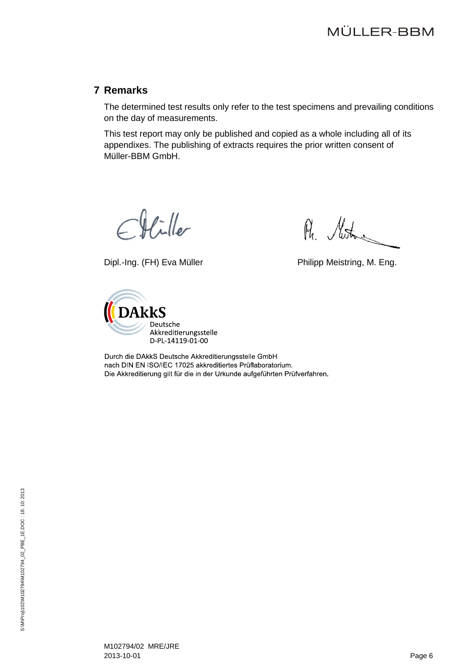### <span id="page-5-0"></span>**7 Remarks**

The determined test results only refer to the test specimens and prevailing conditions on the day of measurements.

This test report may only be published and copied as a whole including all of its appendixes. The publishing of extracts requires the prior written consent of Müller-BBM GmbH.

 $\mathcal{H}$ iller

Dipl.-Ing. (FH) Eva Müller **Philipp Meistring, M. Eng.** 

Ru. Muston



Durch die DAkkS Deutsche Akkreditierungsstelle GmbH nach DIN EN ISO/IEC 17025 akkreditiertes Prüflaboratorium. Die Akkreditierung gilt für die in der Urkunde aufgeführten Prüfverfahren.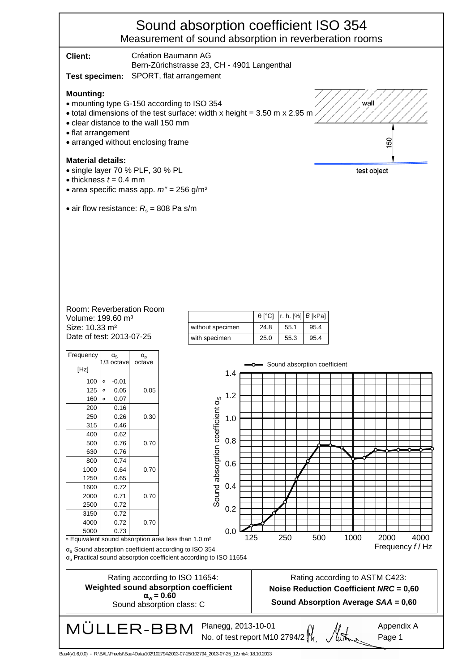# Sound absorption coefficient ISO 354 Measurement of sound absorption in reverberation rooms

| Client:<br>Test specimen:                                                                                                                                                                                                                                                                | Création Baumann AG                                                                                                                           | Bern-Zürichstrasse 23, CH - 4901 Langenthal                                       |               |             |                                  |                                                                                                                        |      |                |
|------------------------------------------------------------------------------------------------------------------------------------------------------------------------------------------------------------------------------------------------------------------------------------------|-----------------------------------------------------------------------------------------------------------------------------------------------|-----------------------------------------------------------------------------------|---------------|-------------|----------------------------------|------------------------------------------------------------------------------------------------------------------------|------|----------------|
| SPORT, flat arrangement<br><b>Mounting:</b><br>wall<br>• mounting type G-150 according to ISO 354<br>• total dimensions of the test surface: width x height = 3.50 m x 2.95 m.<br>• clear distance to the wall 150 mm<br>• flat arrangement<br>150<br>• arranged without enclosing frame |                                                                                                                                               |                                                                                   |               |             |                                  |                                                                                                                        |      |                |
| <b>Material details:</b>                                                                                                                                                                                                                                                                 | • single layer 70 % PLF, 30 % PL<br>test object<br>$\bullet$ thickness $t = 0.4$ mm<br>• area specific mass app. $m'' = 256$ g/m <sup>2</sup> |                                                                                   |               |             |                                  |                                                                                                                        |      |                |
| • air flow resistance: $R_s$ = 808 Pa s/m                                                                                                                                                                                                                                                |                                                                                                                                               |                                                                                   |               |             |                                  |                                                                                                                        |      |                |
|                                                                                                                                                                                                                                                                                          |                                                                                                                                               |                                                                                   |               |             |                                  |                                                                                                                        |      |                |
| Room: Reverberation Room<br>Volume: 199.60 m <sup>3</sup>                                                                                                                                                                                                                                |                                                                                                                                               |                                                                                   | $\theta$ [°C] | r. h. $[%]$ | $B$ [kPa]                        |                                                                                                                        |      |                |
| Size: 10.33 m <sup>2</sup>                                                                                                                                                                                                                                                               |                                                                                                                                               | without specimen                                                                  | 24.8          | 55.1        | 95.4                             |                                                                                                                        |      |                |
| Date of test: 2013-07-25                                                                                                                                                                                                                                                                 |                                                                                                                                               | with specimen                                                                     | 25.0          | 55.3        | 95.4                             |                                                                                                                        |      |                |
| Frequency<br>$\alpha_{\rm S}$<br>1/3 octave<br>[Hz]                                                                                                                                                                                                                                      | $\alpha_{\rm p}$<br>octave                                                                                                                    | 1.4                                                                               |               |             | -o- Sound absorption coefficient |                                                                                                                        |      |                |
| $-0.01$<br>$\circ$<br>100<br>125<br>0.05<br>$\circ$<br>$\circ$<br>0.07<br>160                                                                                                                                                                                                            | 0.05                                                                                                                                          | 1.2                                                                               |               |             |                                  |                                                                                                                        |      |                |
| 200<br>0.16<br>250<br>0.26<br>315<br>0.46                                                                                                                                                                                                                                                | 0.30                                                                                                                                          | Sound absorption coefficient as<br>1.0                                            |               |             |                                  |                                                                                                                        |      |                |
| 0.62<br>400<br>0.76<br>500<br>630<br>0.76                                                                                                                                                                                                                                                | 0.70                                                                                                                                          | 0.8                                                                               |               |             |                                  |                                                                                                                        |      |                |
| 0.74<br>800<br>1000<br>0.64<br>1250<br>0.65                                                                                                                                                                                                                                              | 0.70                                                                                                                                          | 0.6                                                                               |               |             |                                  |                                                                                                                        |      |                |
| 0.72<br>1600<br>2000<br>0.71<br>2500<br>0.72                                                                                                                                                                                                                                             | 0.70                                                                                                                                          | 0.4<br>0.2                                                                        |               |             |                                  |                                                                                                                        |      |                |
| 0.72<br>3150<br>0.72<br>4000<br>0.73<br>5000                                                                                                                                                                                                                                             | 0.70                                                                                                                                          | 0.0<br>125                                                                        |               | 250         | 500                              | 1000                                                                                                                   | 2000 | 4000           |
| • Equivalent sound absorption area less than 1.0 m <sup>2</sup><br>$\alpha_{\rm s}$ Sound absorption coefficient according to ISO 354                                                                                                                                                    |                                                                                                                                               | $\alpha_{\text{p}}$ Practical sound absorption coefficient according to ISO 11654 |               |             |                                  |                                                                                                                        |      | Frequency f/Hz |
|                                                                                                                                                                                                                                                                                          | Rating according to ISO 11654:<br>Weighted sound absorption coefficient<br>$\alpha_w = 0.60$<br>Sound absorption class: C                     |                                                                                   |               |             |                                  | Rating according to ASTM C423:<br><b>Noise Reduction Coefficient NRC = 0,60</b><br>Sound Absorption Average SAA = 0,60 |      |                |
| Planegg, 2013-10-01<br>Appendix A<br>MÜLLER-BBM<br>No. of test report M10 2794/2<br>Page 1                                                                                                                                                                                               |                                                                                                                                               |                                                                                   |               |             |                                  |                                                                                                                        |      |                |

Bau4(v1,6,0,0) - R:\BAU\Pruefst\Bau4Data\102\102794\2013-07-25\102794\_2013-07-25\_12.mb4: 18.10.2013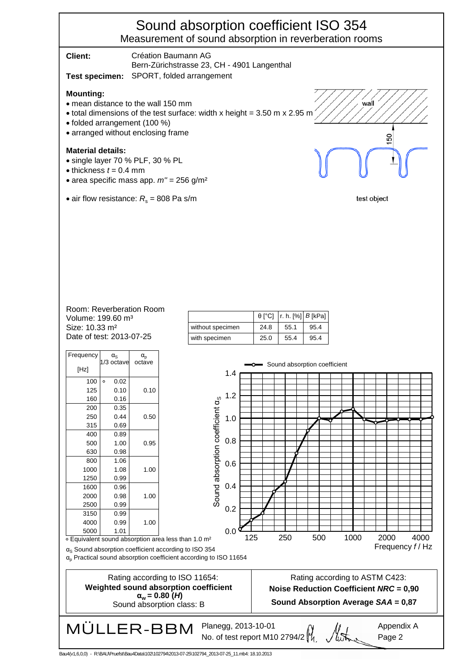# Sound absorption coefficient ISO 354 Measurement of sound absorption in reverberation rooms

| Client:                                                                                          | Création Baumann AG<br>Bern-Zürichstrasse 23, CH - 4901 Langenthal                                                                                           |             |
|--------------------------------------------------------------------------------------------------|--------------------------------------------------------------------------------------------------------------------------------------------------------------|-------------|
| Test specimen:                                                                                   | SPORT, folded arrangement                                                                                                                                    |             |
| <b>Mounting:</b><br>• folded arrangement (100 %)                                                 | • mean distance to the wall 150 mm<br>$\bullet$ total dimensions of the test surface: width x height = 3.50 m x 2.95 m<br>• arranged without enclosing frame | wall<br>ន   |
| <b>Material details:</b><br>• single layer 70 % PLF, 30 % PL<br>$\bullet$ thickness $t = 0.4$ mm | • area specific mass app. $m'' = 256$ g/m <sup>2</sup>                                                                                                       |             |
|                                                                                                  | • air flow resistance: $R_s$ = 808 Pa s/m                                                                                                                    | test object |
|                                                                                                  |                                                                                                                                                              |             |

#### Date of test: 2013-07-25. Size: 10.33 m² Volume: 199.60 m³ Room: Reverberation Room

| Frequency                               | $\alpha_{\rm S}$ | $\alpha_{\rm p}$ |  |
|-----------------------------------------|------------------|------------------|--|
| [Hz]                                    | 1/3 octave       | octave           |  |
| 100                                     | 0.02<br>$\circ$  |                  |  |
| 125                                     | 0.10             | 0.10             |  |
| 160                                     | 0.16             |                  |  |
| 200                                     | 0.35             |                  |  |
| 250                                     | 0.44             | 0.50             |  |
| 315                                     | 0.69             |                  |  |
| 400                                     | 0.89             |                  |  |
| 500                                     | 1.00             | 0.95             |  |
| 630                                     | 0.98             |                  |  |
| 800                                     | 1.06             |                  |  |
| 1000                                    | 1.08             | 1.00             |  |
| 1250                                    | 0.99             |                  |  |
| 1600                                    | 0.96             |                  |  |
| 2000                                    | 0.98             | 1.00             |  |
| 2500                                    | 0.99             |                  |  |
| 3150                                    | 0.99             |                  |  |
| 4000                                    | 0.99             | 1.00             |  |
| 5000                                    | 1.01             |                  |  |
| ○ Equivalent sound absorption area less |                  |                  |  |
|                                         |                  |                  |  |

|                  |      | $\theta$ [°C]  r. h. [%]   B [kPa] |      |
|------------------|------|------------------------------------|------|
| without specimen | 24.8 | 55.1                               | 95.4 |
| with specimen    | 25.0 | 55.4                               | 95.4 |

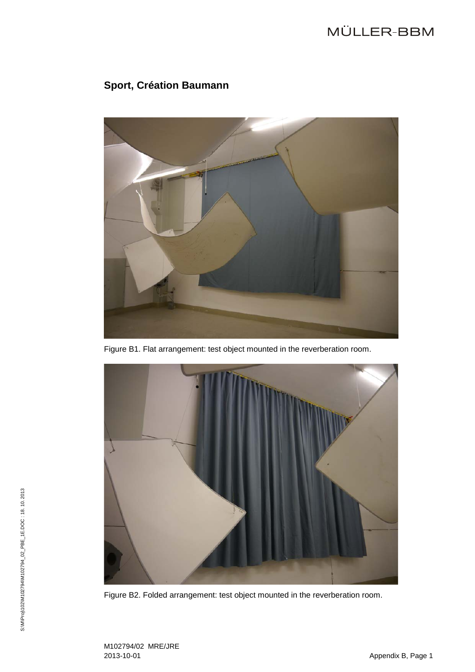# MÜLLER-BBM

# **Sport, Création Baumann**



Figure B1. Flat arrangement: test object mounted in the reverberation room.



Figure B2. Folded arrangement: test object mounted in the reverberation room.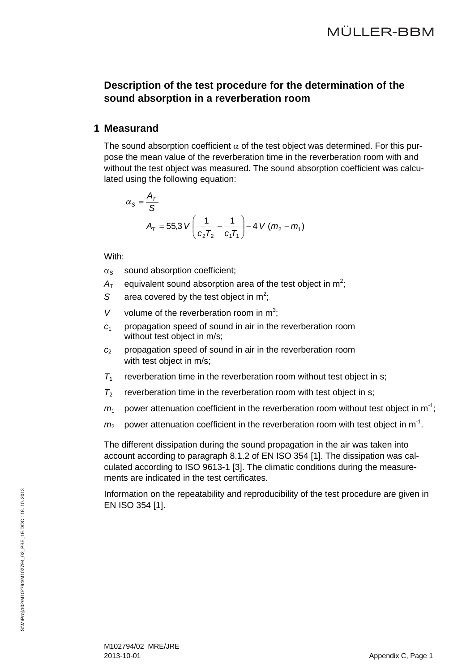### **Description of the test procedure for the determination of the sound absorption in a reverberation room**

### **1 Measurand**

The sound absorption coefficient  $\alpha$  of the test object was determined. For this purpose the mean value of the reverberation time in the reverberation room with and without the test object was measured. The sound absorption coefficient was calculated using the following equation:

$$
\alpha_{S} = \frac{A_{T}}{S}
$$
\n
$$
A_{T} = 55.3 \text{ V} \left( \frac{1}{c_{2}T_{2}} - \frac{1}{c_{1}T_{1}} \right) - 4 \text{ V} (m_{2} - m_{1})
$$

With:

- $\alpha_s$  sound absorption coefficient:
- $A<sub>T</sub>$  equivalent sound absorption area of the test object in m<sup>2</sup>;
- S area covered by the test object in  $m^2$ ;
- V volume of the reverberation room in  $m^3$ ;
- *c*<sup>1</sup> propagation speed of sound in air in the reverberation room without test object in m/s;
- *c*<sup>2</sup> propagation speed of sound in air in the reverberation room with test object in m/s;
- $T_1$  reverberation time in the reverberation room without test object in s;
- $T_2$  reverberation time in the reverberation room with test object in s;
- $m_1$  power attenuation coefficient in the reverberation room without test object in m<sup>-1</sup>;
- $m_2$  power attenuation coefficient in the reverberation room with test object in m<sup>-1</sup>.

The different dissipation during the sound propagation in the air was taken into account according to paragraph 8.1.2 of EN ISO 354 [\[1\].](#page-2-4) The dissipation was calculated according to ISO 9613-1 [\[3\].](#page-2-8) The climatic conditions during the measurements are indicated in the test certificates.

Information on the repeatability and reproducibility of the test procedure are given in EN ISO 354 [\[1\].](#page-2-4)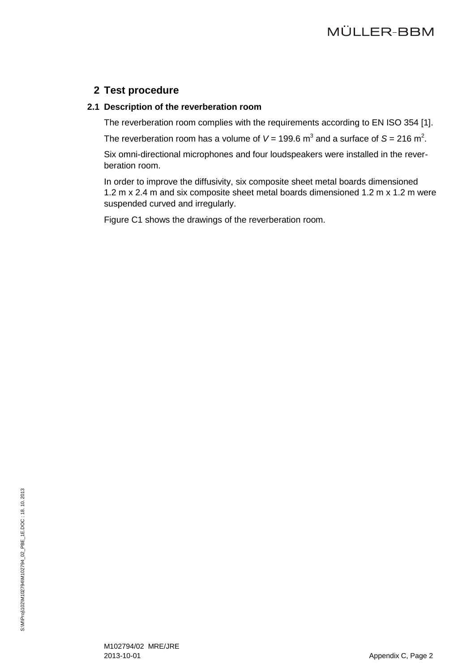### **2 Test procedure**

### **2.1 Description of the reverberation room**

The reverberation room complies with the requirements according to EN ISO 354 [\[1\].](#page-2-4)

The reverberation room has a volume of  $V = 199.6$  m<sup>3</sup> and a surface of S = 216 m<sup>2</sup>.

Six omni-directional microphones and four loudspeakers were installed in the reverberation room.

In order to improve the diffusivity, six composite sheet metal boards dimensioned 1.2 m x 2.4 m and six composite sheet metal boards dimensioned 1.2 m x 1.2 m were suspended curved and irregularly.

Figure C1 shows the drawings of the reverberation room.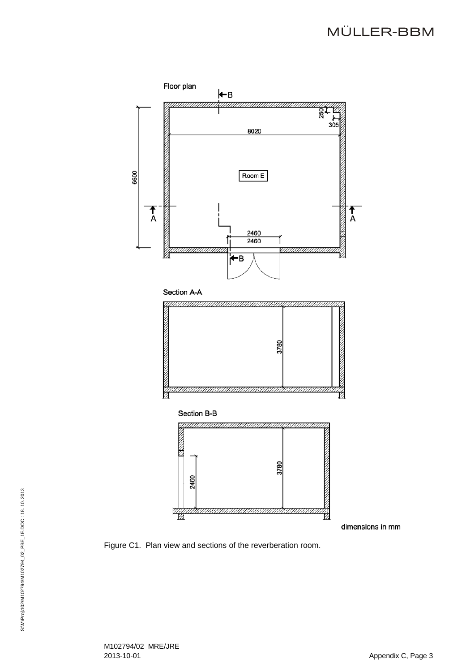# MÜLLER-BBM



Figure C1. Plan view and sections of the reverberation room .

M102794/02 MRE/JRE 2013 -10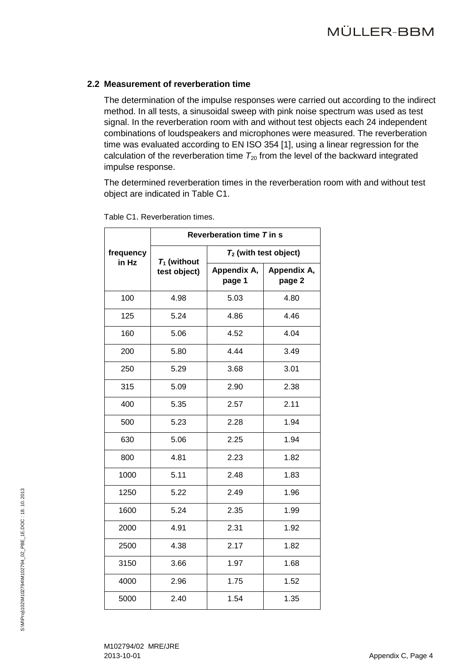### **2.2 Measurement of reverberation time**

The determination of the impulse responses were carried out according to the indirect method. In all tests, a sinusoidal sweep with pink noise spectrum was used as test signal. In the reverberation room with and without test objects each 24 independent combinations of loudspeakers and microphones were measured. The reverberation time was evaluated according to EN ISO 354 [\[1\],](#page-2-4) using a linear regression for the calculation of the reverberation time  $T_{20}$  from the level of the backward integrated impulse response.

The determined reverberation times in the reverberation room with and without test object are indicated in Table C1.

|                    | Reverberation time T in s |                          |                       |  |
|--------------------|---------------------------|--------------------------|-----------------------|--|
| frequency<br>in Hz | $T_1$ (without            | $T_2$ (with test object) |                       |  |
|                    | test object)              | Appendix A,<br>page 1    | Appendix A,<br>page 2 |  |
| 100                | 4.98                      | 5.03                     | 4.80                  |  |
| 125                | 5.24                      | 4.86                     | 4.46                  |  |
| 160                | 5.06                      | 4.52                     | 4.04                  |  |
| 200                | 5.80                      | 4.44                     | 3.49                  |  |
| 250                | 5.29                      | 3.68                     | 3.01                  |  |
| 315                | 5.09                      | 2.90                     | 2.38                  |  |
| 400                | 5.35                      | 2.57                     | 2.11                  |  |
| 500                | 5.23                      | 2.28                     | 1.94                  |  |
| 630                | 5.06                      | 2.25                     | 1.94                  |  |
| 800                | 4.81                      | 2.23                     | 1.82                  |  |
| 1000               | 5.11                      | 2.48                     | 1.83                  |  |
| 1250               | 5.22                      | 2.49                     | 1.96                  |  |
| 1600               | 5.24                      | 2.35                     | 1.99                  |  |
| 2000               | 4.91                      | 2.31                     | 1.92                  |  |
| 2500               | 4.38                      | 2.17                     | 1.82                  |  |
| 3150               | 3.66                      | 1.97                     | 1.68                  |  |
| 4000               | 2.96                      | 1.75                     | 1.52                  |  |
| 5000               | 2.40                      | 1.54                     | 1.35                  |  |

Table C1. Reverberation times.